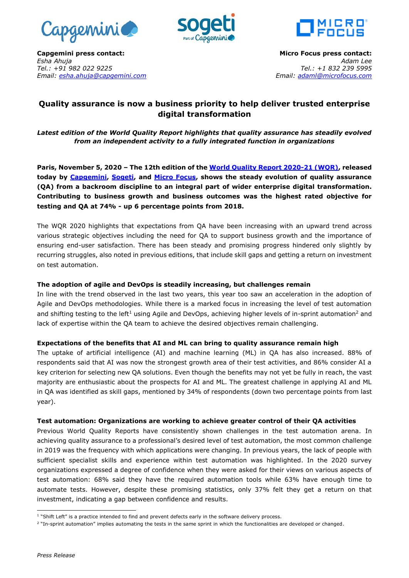





**Capgemini press contact:** *Esha Ahuja Tel.: +91 982 022 9225 Email: [esha.ahuja@capgemini.com](mailto:esha.ahuja@capgemini.com)*

**Micro Focus press contact:** *Adam Lee Tel.: +1 832 239 5995 Email: [adaml@microfocus.com](mailto:adaml@microfocus.com)*

# **Quality assurance is now a business priority to help deliver trusted enterprise digital transformation**

*Latest edition of the World Quality Report highlights that quality assurance has steadily evolved from an independent activity to a fully integrated function in organizations*

**Paris, November 5, 2020 – The 12th edition of th[e World Quality Report](https://www.capgemini.com/research/world-quality-report-wqr-20-21/?utm_source=pr&utm_medium=referral&utm_content=testing_none_link_pressrelease_none&utm_campaign=other_wqr) 2020-21 (WQR), released today by [Capgemini,](https://www.capgemini.com/) [Sogeti,](https://www.sogeti.com/) and [Micro Focus,](https://www.microfocus.com/en-us/home) shows the steady evolution of quality assurance (QA) from a backroom discipline to an integral part of wider enterprise digital transformation. Contributing to business growth and business outcomes was the highest rated objective for testing and QA at 74% - up 6 percentage points from 2018.** 

The WQR 2020 highlights that expectations from QA have been increasing with an upward trend across various strategic objectives including the need for QA to support business growth and the importance of ensuring end-user satisfaction. There has been steady and promising progress hindered only slightly by recurring struggles, also noted in previous editions, that include skill gaps and getting a return on investment on test automation.

# **The adoption of agile and DevOps is steadily increasing, but challenges remain**

In line with the trend observed in the last two years, this year too saw an acceleration in the adoption of Agile and DevOps methodologies. While there is a marked focus in increasing the level of test automation and shifting testing to the left<sup>1</sup> using Agile and DevOps, achieving higher levels of in-sprint automation<sup>2</sup> and lack of expertise within the QA team to achieve the desired objectives remain challenging.

# **Expectations of the benefits that AI and ML can bring to quality assurance remain high**

The uptake of artificial intelligence (AI) and machine learning (ML) in QA has also increased. 88% of respondents said that AI was now the strongest growth area of their test activities, and 86% consider AI a key criterion for selecting new QA solutions. Even though the benefits may not yet be fully in reach, the vast majority are enthusiastic about the prospects for AI and ML. The greatest challenge in applying AI and ML in QA was identified as skill gaps, mentioned by 34% of respondents (down two percentage points from last year).

### **Test automation: Organizations are working to achieve greater control of their QA activities**

Previous World Quality Reports have consistently shown challenges in the test automation arena. In achieving quality assurance to a professional's desired level of test automation, the most common challenge in 2019 was the frequency with which applications were changing. In previous years, the lack of people with sufficient specialist skills and experience within test automation was highlighted. In the 2020 survey organizations expressed a degree of confidence when they were asked for their views on various aspects of test automation: 68% said they have the required automation tools while 63% have enough time to automate tests. However, despite these promising statistics, only 37% felt they get a return on that investment, indicating a gap between confidence and results.

 $\overline{a}$ <sup>1</sup> "Shift Left" is a practice intended to find and prevent defects early in the software delivery process.

<sup>&</sup>lt;sup>2</sup> "In-sprint automation" implies automating the tests in the same sprint in which the functionalities are developed or changed.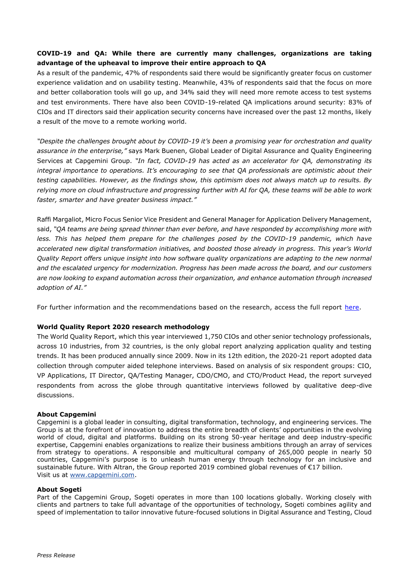# **COVID-19 and QA: While there are currently many challenges, organizations are taking advantage of the upheaval to improve their entire approach to QA**

As a result of the pandemic, 47% of respondents said there would be significantly greater focus on customer experience validation and on usability testing. Meanwhile, 43% of respondents said that the focus on more and better collaboration tools will go up, and 34% said they will need more remote access to test systems and test environments. There have also been COVID-19-related QA implications around security: 83% of CIOs and IT directors said their application security concerns have increased over the past 12 months, likely a result of the move to a remote working world.

*"Despite the challenges brought about by COVID-19 it's been a promising year for orchestration and quality assurance in the enterprise,"* says Mark Buenen, Global Leader of Digital Assurance and Quality Engineering Services at Capgemini Group. *"In fact, COVID-19 has acted as an accelerator for QA, demonstrating its integral importance to operations. It's encouraging to see that QA professionals are optimistic about their testing capabilities. However, as the findings show, this optimism does not always match up to results. By relying more on cloud infrastructure and progressing further with AI for QA, these teams will be able to work faster, smarter and have greater business impact."* 

Raffi Margaliot, Micro Focus Senior Vice President and General Manager for Application Delivery Management, said, *"QA teams are being spread thinner than ever before, and have responded by accomplishing more with less. This has helped them prepare for the challenges posed by the COVID-19 pandemic, which have accelerated new digital transformation initiatives, and boosted those already in progress. This year's World Quality Report offers unique insight into how software quality organizations are adapting to the new normal and the escalated urgency for modernization. Progress has been made across the board, and our customers are now looking to expand automation across their organization, and enhance automation through increased adoption of AI."*

For further information and the recommendations based on the research, access the full report [here.](https://www.capgemini.com/research/world-quality-report-wqr-20-21/?utm_source=pr&utm_medium=referral&utm_content=testing_none_link_pressrelease_none&utm_campaign=other_wqr)

# **World Quality Report 2020 research methodology**

The World Quality Report, which this year interviewed 1,750 CIOs and other senior technology professionals, across 10 industries, from 32 countries, is the only global report analyzing application quality and testing trends. It has been produced annually since 2009. Now in its 12th edition, the 2020-21 report adopted data collection through computer aided telephone interviews. Based on analysis of six respondent groups: CIO, VP Applications, IT Director, QA/Testing Manager, CDO/CMO, and CTO/Product Head, the report surveyed respondents from across the globe through quantitative interviews followed by qualitative deep-dive discussions.

### **About Capgemini**

Capgemini is a global leader in consulting, digital transformation, technology, and engineering services. The Group is at the forefront of innovation to address the entire breadth of clients' opportunities in the evolving world of cloud, digital and platforms. Building on its strong 50-year heritage and deep industry-specific expertise, Capgemini enables organizations to realize their business ambitions through an array of services from strategy to operations. A responsible and multicultural company of 265,000 people in nearly 50 countries, Capgemini's purpose is to unleash human energy through technology for an inclusive and sustainable future. With Altran, the Group reported 2019 combined global revenues of €17 billion. Visit us at [www.capgemini.com.](http://www.capgemini.com/)

### **About Sogeti**

Part of the Capgemini Group, Sogeti operates in more than 100 locations globally. Working closely with clients and partners to take full advantage of the opportunities of technology, Sogeti combines agility and speed of implementation to tailor innovative future-focused solutions in Digital Assurance and Testing, Cloud